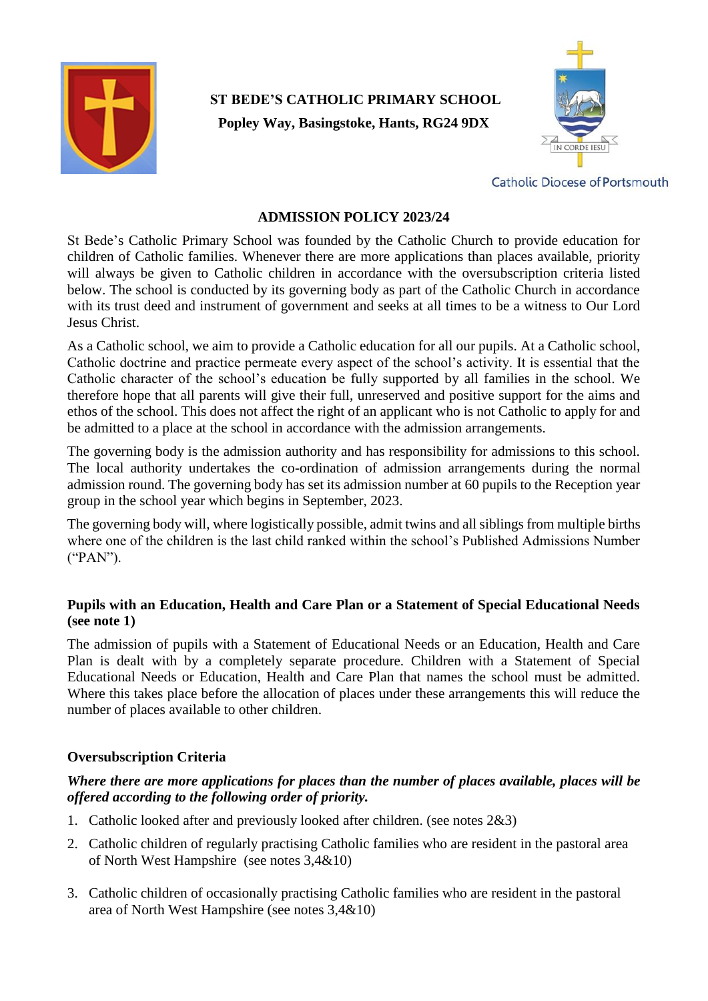

# **ST BEDE'S CATHOLIC PRIMARY SCHOOL Popley Way, Basingstoke, Hants, RG24 9DX**



**Catholic Diocese of Portsmouth** 

## **ADMISSION POLICY 2023/24**

St Bede's Catholic Primary School was founded by the Catholic Church to provide education for children of Catholic families. Whenever there are more applications than places available, priority will always be given to Catholic children in accordance with the oversubscription criteria listed below. The school is conducted by its governing body as part of the Catholic Church in accordance with its trust deed and instrument of government and seeks at all times to be a witness to Our Lord Jesus Christ.

As a Catholic school, we aim to provide a Catholic education for all our pupils. At a Catholic school, Catholic doctrine and practice permeate every aspect of the school's activity. It is essential that the Catholic character of the school's education be fully supported by all families in the school. We therefore hope that all parents will give their full, unreserved and positive support for the aims and ethos of the school. This does not affect the right of an applicant who is not Catholic to apply for and be admitted to a place at the school in accordance with the admission arrangements.

The governing body is the admission authority and has responsibility for admissions to this school. The local authority undertakes the co-ordination of admission arrangements during the normal admission round. The governing body has set its admission number at 60 pupils to the Reception year group in the school year which begins in September, 2023.

The governing body will, where logistically possible, admit twins and all siblings from multiple births where one of the children is the last child ranked within the school's Published Admissions Number ("PAN").

## **Pupils with an Education, Health and Care Plan or a Statement of Special Educational Needs (see note 1)**

The admission of pupils with a Statement of Educational Needs or an Education, Health and Care Plan is dealt with by a completely separate procedure. Children with a Statement of Special Educational Needs or Education, Health and Care Plan that names the school must be admitted. Where this takes place before the allocation of places under these arrangements this will reduce the number of places available to other children.

## **Oversubscription Criteria**

## *Where there are more applications for places than the number of places available, places will be offered according to the following order of priority.*

- 1. Catholic looked after and previously looked after children. (see notes 2&3)
- 2. Catholic children of regularly practising Catholic families who are resident in the pastoral area of North West Hampshire (see notes 3,4&10)
- 3. Catholic children of occasionally practising Catholic families who are resident in the pastoral area of North West Hampshire (see notes 3,4&10)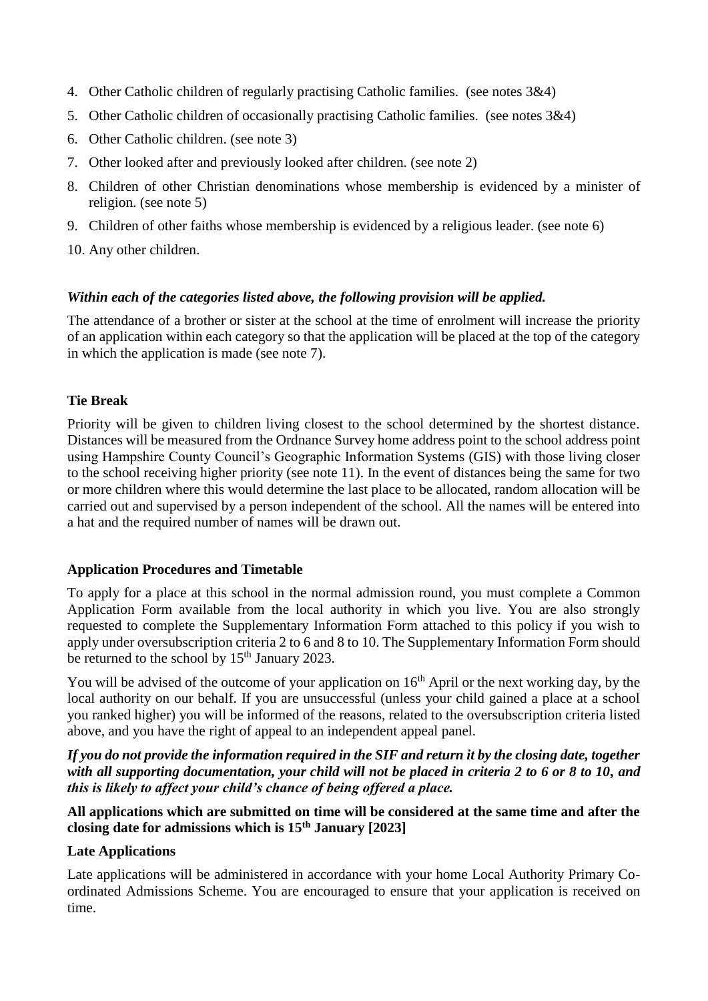- 4. Other Catholic children of regularly practising Catholic families. (see notes 3&4)
- 5. Other Catholic children of occasionally practising Catholic families. (see notes 3&4)
- 6. Other Catholic children. (see note 3)
- 7. Other looked after and previously looked after children. (see note 2)
- 8. Children of other Christian denominations whose membership is evidenced by a minister of religion. (see note 5)
- 9. Children of other faiths whose membership is evidenced by a religious leader. (see note 6)
- 10. Any other children.

#### *Within each of the categories listed above, the following provision will be applied.*

The attendance of a brother or sister at the school at the time of enrolment will increase the priority of an application within each category so that the application will be placed at the top of the category in which the application is made (see note 7).

#### **Tie Break**

Priority will be given to children living closest to the school determined by the shortest distance. Distances will be measured from the Ordnance Survey home address point to the school address point using Hampshire County Council's Geographic Information Systems (GIS) with those living closer to the school receiving higher priority (see note 11). In the event of distances being the same for two or more children where this would determine the last place to be allocated, random allocation will be carried out and supervised by a person independent of the school. All the names will be entered into a hat and the required number of names will be drawn out.

#### **Application Procedures and Timetable**

To apply for a place at this school in the normal admission round, you must complete a Common Application Form available from the local authority in which you live. You are also strongly requested to complete the Supplementary Information Form attached to this policy if you wish to apply under oversubscription criteria 2 to 6 and 8 to 10. The Supplementary Information Form should be returned to the school by  $15<sup>th</sup>$  January 2023.

You will be advised of the outcome of your application on  $16<sup>th</sup>$  April or the next working day, by the local authority on our behalf. If you are unsuccessful (unless your child gained a place at a school you ranked higher) you will be informed of the reasons, related to the oversubscription criteria listed above, and you have the right of appeal to an independent appeal panel.

*If you do not provide the information required in the SIF and return it by the closing date, together with all supporting documentation, your child will not be placed in criteria 2 to 6 or 8 to 10, and this is likely to affect your child's chance of being offered a place.*

**All applications which are submitted on time will be considered at the same time and after the closing date for admissions which is 15th January [2023]**

#### **Late Applications**

Late applications will be administered in accordance with your home Local Authority Primary Coordinated Admissions Scheme. You are encouraged to ensure that your application is received on time.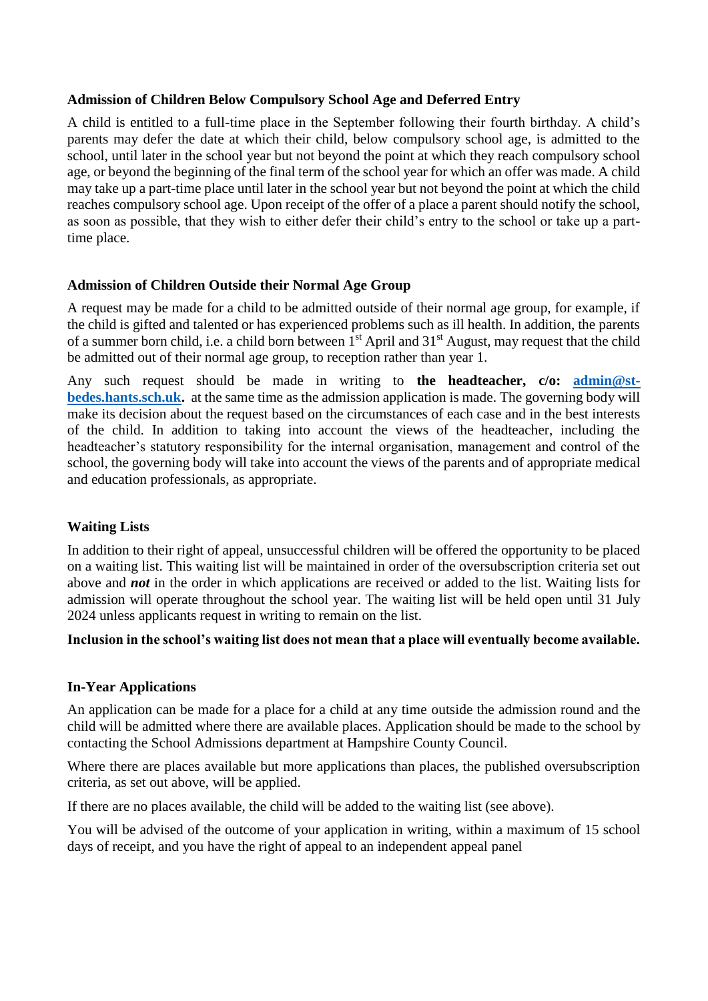#### **Admission of Children Below Compulsory School Age and Deferred Entry**

A child is entitled to a full-time place in the September following their fourth birthday. A child's parents may defer the date at which their child, below compulsory school age, is admitted to the school, until later in the school year but not beyond the point at which they reach compulsory school age, or beyond the beginning of the final term of the school year for which an offer was made. A child may take up a part-time place until later in the school year but not beyond the point at which the child reaches compulsory school age. Upon receipt of the offer of a place a parent should notify the school, as soon as possible, that they wish to either defer their child's entry to the school or take up a parttime place.

## **Admission of Children Outside their Normal Age Group**

A request may be made for a child to be admitted outside of their normal age group, for example, if the child is gifted and talented or has experienced problems such as ill health. In addition, the parents of a summer born child, i.e. a child born between 1<sup>st</sup> April and 31<sup>st</sup> August, may request that the child be admitted out of their normal age group, to reception rather than year 1.

Any such request should be made in writing to **the headteacher, c/o: [admin@st](mailto:admin@st-bedes.hants.sch.uk)[bedes.hants.sch.uk.](mailto:admin@st-bedes.hants.sch.uk)** at the same time as the admission application is made. The governing body will make its decision about the request based on the circumstances of each case and in the best interests of the child. In addition to taking into account the views of the headteacher, including the headteacher's statutory responsibility for the internal organisation, management and control of the school, the governing body will take into account the views of the parents and of appropriate medical and education professionals, as appropriate.

## **Waiting Lists**

In addition to their right of appeal, unsuccessful children will be offered the opportunity to be placed on a waiting list. This waiting list will be maintained in order of the oversubscription criteria set out above and *not* in the order in which applications are received or added to the list. Waiting lists for admission will operate throughout the school year. The waiting list will be held open until 31 July 2024 unless applicants request in writing to remain on the list.

## **Inclusion in the school's waiting list does not mean that a place will eventually become available.**

## **In-Year Applications**

An application can be made for a place for a child at any time outside the admission round and the child will be admitted where there are available places. Application should be made to the school by contacting the School Admissions department at Hampshire County Council.

Where there are places available but more applications than places, the published oversubscription criteria, as set out above, will be applied.

If there are no places available, the child will be added to the waiting list (see above).

You will be advised of the outcome of your application in writing, within a maximum of 15 school days of receipt, and you have the right of appeal to an independent appeal panel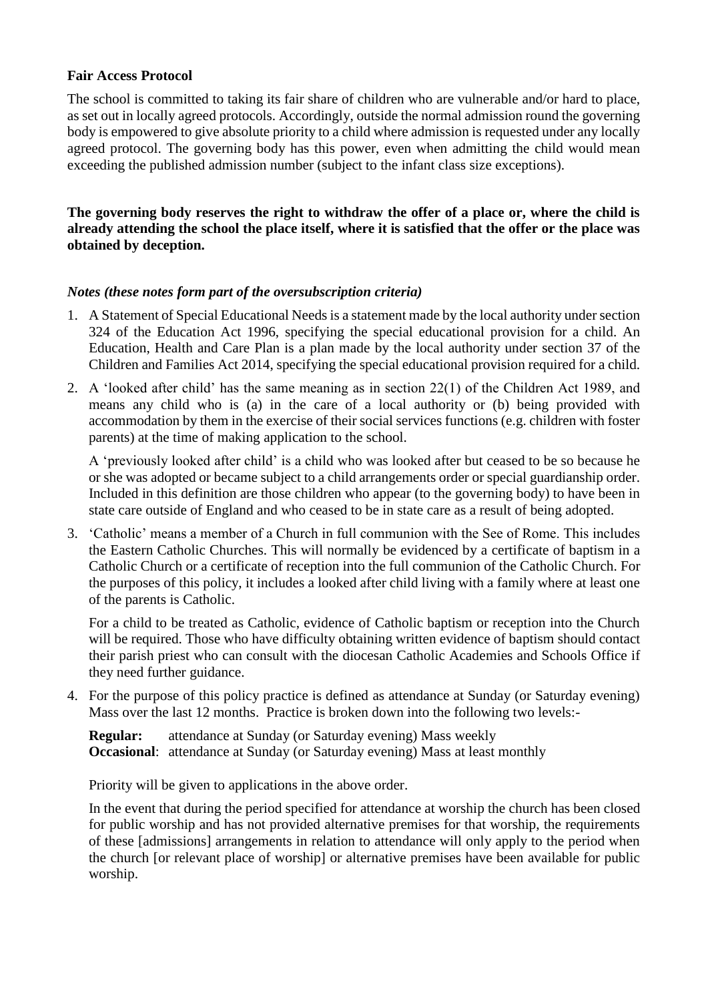### **Fair Access Protocol**

The school is committed to taking its fair share of children who are vulnerable and/or hard to place, as set out in locally agreed protocols. Accordingly, outside the normal admission round the governing body is empowered to give absolute priority to a child where admission is requested under any locally agreed protocol. The governing body has this power, even when admitting the child would mean exceeding the published admission number (subject to the infant class size exceptions).

**The governing body reserves the right to withdraw the offer of a place or, where the child is already attending the school the place itself, where it is satisfied that the offer or the place was obtained by deception.**

#### *Notes (these notes form part of the oversubscription criteria)*

- 1. A Statement of Special Educational Needs is a statement made by the local authority under section 324 of the Education Act 1996, specifying the special educational provision for a child. An Education, Health and Care Plan is a plan made by the local authority under section 37 of the Children and Families Act 2014, specifying the special educational provision required for a child.
- 2. A 'looked after child' has the same meaning as in section 22(1) of the Children Act 1989, and means any child who is (a) in the care of a local authority or (b) being provided with accommodation by them in the exercise of their social services functions (e.g. children with foster parents) at the time of making application to the school.

A 'previously looked after child' is a child who was looked after but ceased to be so because he or she was adopted or became subject to a child arrangements order or special guardianship order. Included in this definition are those children who appear (to the governing body) to have been in state care outside of England and who ceased to be in state care as a result of being adopted.

3. 'Catholic' means a member of a Church in full communion with the See of Rome. This includes the Eastern Catholic Churches. This will normally be evidenced by a certificate of baptism in a Catholic Church or a certificate of reception into the full communion of the Catholic Church. For the purposes of this policy, it includes a looked after child living with a family where at least one of the parents is Catholic.

For a child to be treated as Catholic, evidence of Catholic baptism or reception into the Church will be required. Those who have difficulty obtaining written evidence of baptism should contact their parish priest who can consult with the diocesan Catholic Academies and Schools Office if they need further guidance.

4. For the purpose of this policy practice is defined as attendance at Sunday (or Saturday evening) Mass over the last 12 months. Practice is broken down into the following two levels:-

**Regular:** attendance at Sunday (or Saturday evening) Mass weekly **Occasional**: attendance at Sunday (or Saturday evening) Mass at least monthly

Priority will be given to applications in the above order.

In the event that during the period specified for attendance at worship the church has been closed for public worship and has not provided alternative premises for that worship, the requirements of these [admissions] arrangements in relation to attendance will only apply to the period when the church [or relevant place of worship] or alternative premises have been available for public worship.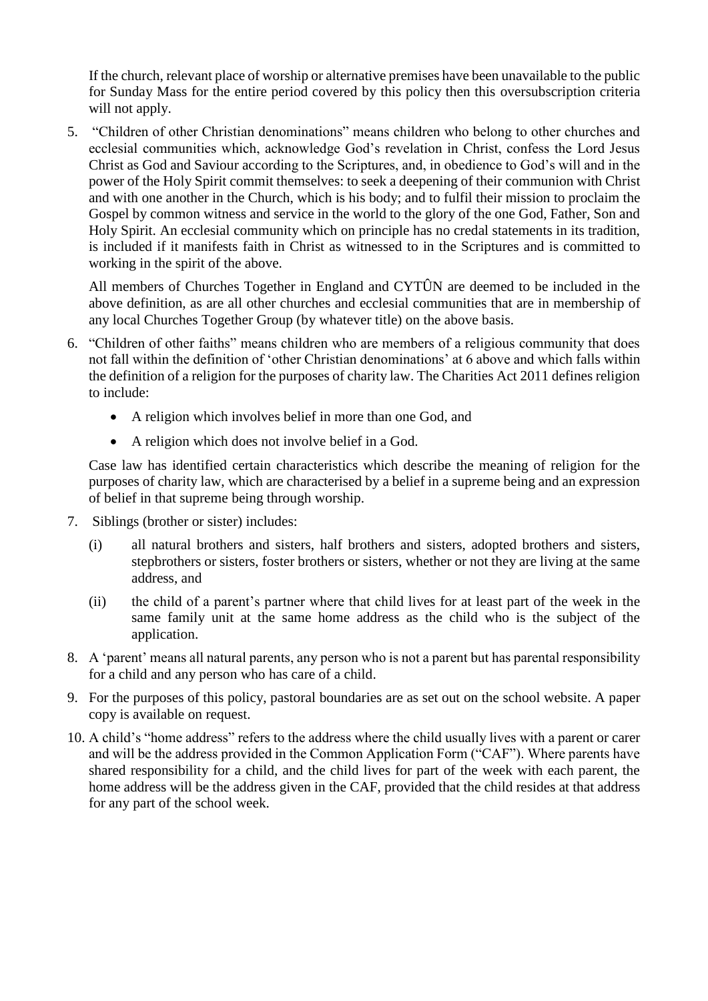If the church, relevant place of worship or alternative premises have been unavailable to the public for Sunday Mass for the entire period covered by this policy then this oversubscription criteria will not apply.

5. "Children of other Christian denominations" means children who belong to other churches and ecclesial communities which, acknowledge God's revelation in Christ, confess the Lord Jesus Christ as God and Saviour according to the Scriptures, and, in obedience to God's will and in the power of the Holy Spirit commit themselves: to seek a deepening of their communion with Christ and with one another in the Church, which is his body; and to fulfil their mission to proclaim the Gospel by common witness and service in the world to the glory of the one God, Father, Son and Holy Spirit. An ecclesial community which on principle has no credal statements in its tradition, is included if it manifests faith in Christ as witnessed to in the Scriptures and is committed to working in the spirit of the above.

All members of Churches Together in England and CYTÛN are deemed to be included in the above definition, as are all other churches and ecclesial communities that are in membership of any local Churches Together Group (by whatever title) on the above basis.

- 6. "Children of other faiths" means children who are members of a religious community that does not fall within the definition of 'other Christian denominations' at 6 above and which falls within the definition of a religion for the purposes of charity law. The Charities Act 2011 defines religion to include:
	- A religion which involves belief in more than one God, and
	- A religion which does not involve belief in a God.

Case law has identified certain characteristics which describe the meaning of religion for the purposes of charity law, which are characterised by a belief in a supreme being and an expression of belief in that supreme being through worship.

- 7. Siblings (brother or sister) includes:
	- (i) all natural brothers and sisters, half brothers and sisters, adopted brothers and sisters, stepbrothers or sisters, foster brothers or sisters, whether or not they are living at the same address, and
	- (ii) the child of a parent's partner where that child lives for at least part of the week in the same family unit at the same home address as the child who is the subject of the application.
- 8. A 'parent' means all natural parents, any person who is not a parent but has parental responsibility for a child and any person who has care of a child.
- 9. For the purposes of this policy, pastoral boundaries are as set out on the school website. A paper copy is available on request.
- 10. A child's "home address" refers to the address where the child usually lives with a parent or carer and will be the address provided in the Common Application Form ("CAF"). Where parents have shared responsibility for a child, and the child lives for part of the week with each parent, the home address will be the address given in the CAF, provided that the child resides at that address for any part of the school week.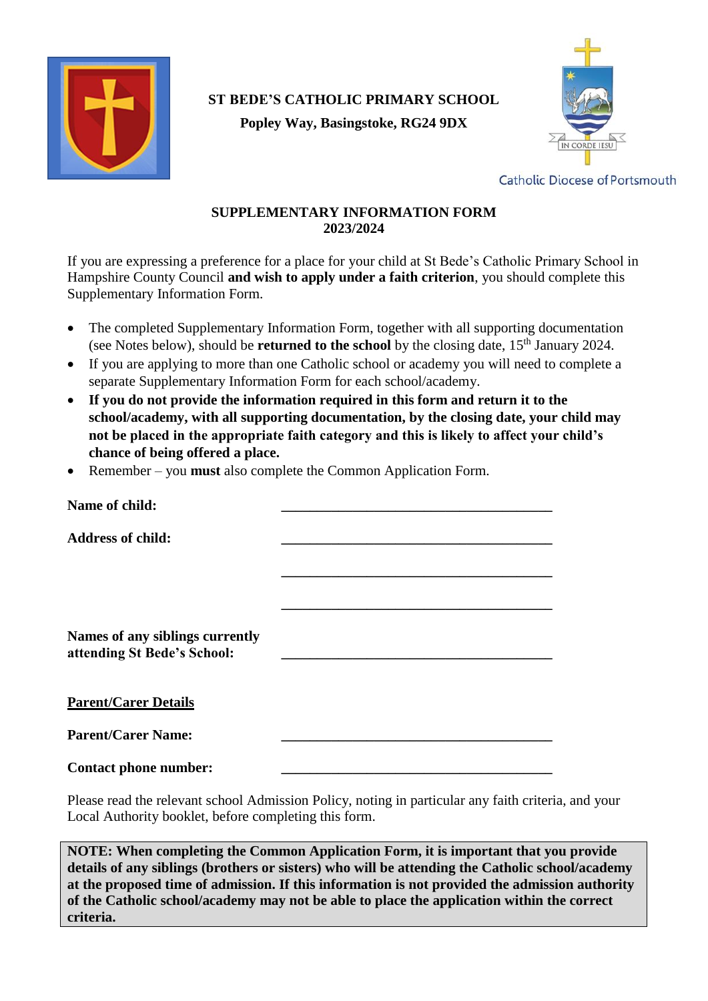

# **ST BEDE'S CATHOLIC PRIMARY SCHOOL Popley Way, Basingstoke, RG24 9DX**



**Catholic Diocese of Portsmouth** 

## **SUPPLEMENTARY INFORMATION FORM 2023/2024**

If you are expressing a preference for a place for your child at St Bede's Catholic Primary School in Hampshire County Council **and wish to apply under a faith criterion**, you should complete this Supplementary Information Form.

- The completed Supplementary Information Form, together with all supporting documentation (see Notes below), should be **returned to the school** by the closing date, 15<sup>th</sup> January 2024.
- If you are applying to more than one Catholic school or academy you will need to complete a separate Supplementary Information Form for each school/academy.
- **If you do not provide the information required in this form and return it to the school/academy, with all supporting documentation, by the closing date, your child may not be placed in the appropriate faith category and this is likely to affect your child's chance of being offered a place.**
- Remember you **must** also complete the Common Application Form.

| Name of child:                                                 |                                                                                                                                                                                                                                                                                                  |
|----------------------------------------------------------------|--------------------------------------------------------------------------------------------------------------------------------------------------------------------------------------------------------------------------------------------------------------------------------------------------|
| <b>Address of child:</b>                                       |                                                                                                                                                                                                                                                                                                  |
|                                                                |                                                                                                                                                                                                                                                                                                  |
|                                                                |                                                                                                                                                                                                                                                                                                  |
| Names of any siblings currently<br>attending St Bede's School: |                                                                                                                                                                                                                                                                                                  |
| <b>Parent/Carer Details</b>                                    |                                                                                                                                                                                                                                                                                                  |
| <b>Parent/Carer Name:</b>                                      |                                                                                                                                                                                                                                                                                                  |
| <b>Contact phone number:</b>                                   |                                                                                                                                                                                                                                                                                                  |
|                                                                | $\mathbf{M}$ and $\mathbf{M}$ and $\mathbf{M}$ and $\mathbf{M}$ and $\mathbf{M}$ and $\mathbf{M}$ and $\mathbf{M}$ and $\mathbf{M}$ and $\mathbf{M}$ and $\mathbf{M}$ and $\mathbf{M}$ and $\mathbf{M}$ and $\mathbf{M}$ and $\mathbf{M}$ and $\mathbf{M}$ and $\mathbf{M}$ and $\mathbf{M}$ and |

Please read the relevant school Admission Policy, noting in particular any faith criteria, and your Local Authority booklet, before completing this form.

**NOTE: When completing the Common Application Form, it is important that you provide details of any siblings (brothers or sisters) who will be attending the Catholic school/academy at the proposed time of admission. If this information is not provided the admission authority of the Catholic school/academy may not be able to place the application within the correct criteria.**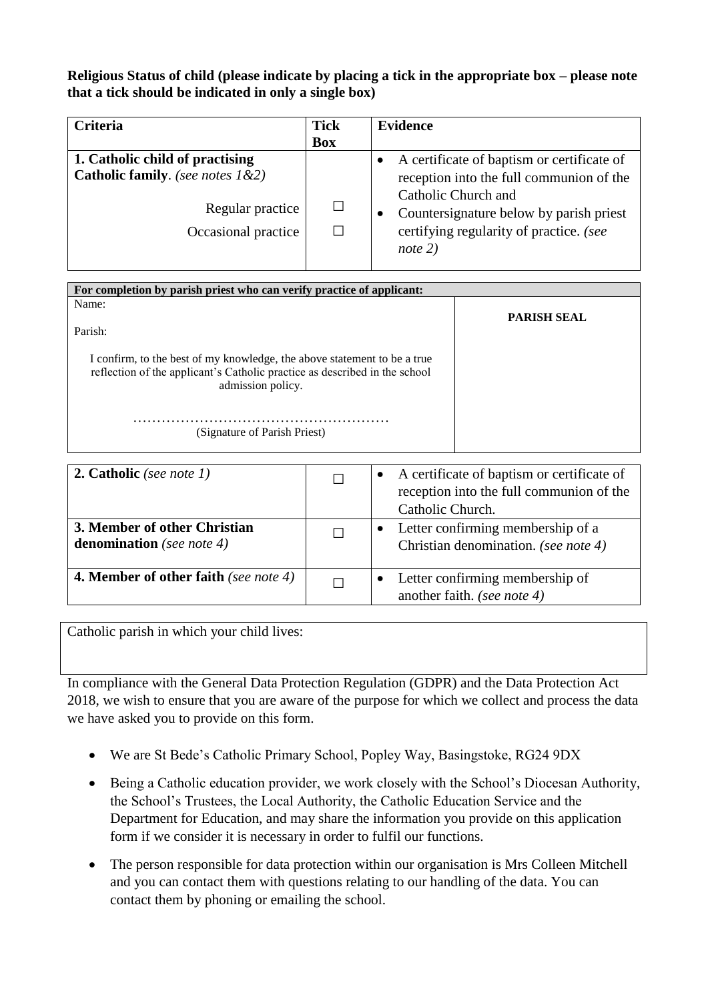**Religious Status of child (please indicate by placing a tick in the appropriate box – please note that a tick should be indicated in only a single box)** 

| <b>Criteria</b>                                                                                                | <b>Tick</b> | <b>Evidence</b>                                                                                                                                                                                                  |
|----------------------------------------------------------------------------------------------------------------|-------------|------------------------------------------------------------------------------------------------------------------------------------------------------------------------------------------------------------------|
|                                                                                                                | <b>Box</b>  |                                                                                                                                                                                                                  |
| 1. Catholic child of practising<br>Catholic family. (see notes 1&2)<br>Regular practice<br>Occasional practice |             | A certificate of baptism or certificate of<br>reception into the full communion of the<br>Catholic Church and<br>Countersignature below by parish priest<br>certifying regularity of practice. (see<br>note $2)$ |

| For completion by parish priest who can verify practice of applicant:                                                                                                       |                    |  |  |  |
|-----------------------------------------------------------------------------------------------------------------------------------------------------------------------------|--------------------|--|--|--|
| Name:                                                                                                                                                                       |                    |  |  |  |
| Parish:                                                                                                                                                                     | <b>PARISH SEAL</b> |  |  |  |
| I confirm, to the best of my knowledge, the above statement to be a true<br>reflection of the applicant's Catholic practice as described in the school<br>admission policy. |                    |  |  |  |
| (Signature of Parish Priest)                                                                                                                                                |                    |  |  |  |

| <b>2. Catholic</b> (see note $1$ )                        | A certificate of baptism or certificate of<br>$\bullet$<br>reception into the full communion of the<br>Catholic Church. |
|-----------------------------------------------------------|-------------------------------------------------------------------------------------------------------------------------|
| 3. Member of other Christian<br>denomination (see note 4) | Letter confirming membership of a<br>$\bullet$<br>Christian denomination. (see note 4)                                  |
| <b>4. Member of other faith</b> (see note 4)              | Letter confirming membership of<br>another faith. (see note 4)                                                          |

Catholic parish in which your child lives:

In compliance with the General Data Protection Regulation (GDPR) and the Data Protection Act 2018, we wish to ensure that you are aware of the purpose for which we collect and process the data we have asked you to provide on this form.

- We are St Bede's Catholic Primary School, Popley Way, Basingstoke, RG24 9DX
- Being a Catholic education provider, we work closely with the School's Diocesan Authority, the School's Trustees, the Local Authority, the Catholic Education Service and the Department for Education, and may share the information you provide on this application form if we consider it is necessary in order to fulfil our functions.
- The person responsible for data protection within our organisation is Mrs Colleen Mitchell and you can contact them with questions relating to our handling of the data. You can contact them by phoning or emailing the school.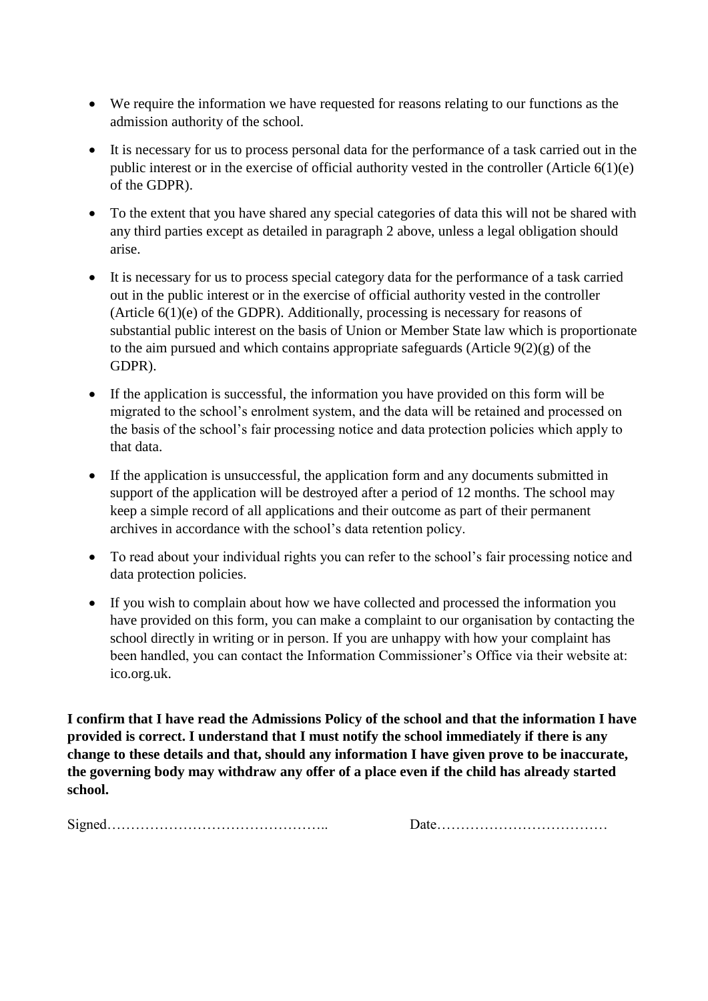- We require the information we have requested for reasons relating to our functions as the admission authority of the school.
- It is necessary for us to process personal data for the performance of a task carried out in the public interest or in the exercise of official authority vested in the controller (Article 6(1)(e) of the GDPR).
- To the extent that you have shared any special categories of data this will not be shared with any third parties except as detailed in paragraph 2 above, unless a legal obligation should arise.
- It is necessary for us to process special category data for the performance of a task carried out in the public interest or in the exercise of official authority vested in the controller (Article 6(1)(e) of the GDPR). Additionally, processing is necessary for reasons of substantial public interest on the basis of Union or Member State law which is proportionate to the aim pursued and which contains appropriate safeguards (Article  $9(2)(g)$  of the GDPR).
- If the application is successful, the information you have provided on this form will be migrated to the school's enrolment system, and the data will be retained and processed on the basis of the school's fair processing notice and data protection policies which apply to that data.
- If the application is unsuccessful, the application form and any documents submitted in support of the application will be destroyed after a period of 12 months. The school may keep a simple record of all applications and their outcome as part of their permanent archives in accordance with the school's data retention policy.
- To read about your individual rights you can refer to the school's fair processing notice and data protection policies.
- If you wish to complain about how we have collected and processed the information you have provided on this form, you can make a complaint to our organisation by contacting the school directly in writing or in person. If you are unhappy with how your complaint has been handled, you can contact the Information Commissioner's Office via their website at: ico.org.uk.

**I confirm that I have read the Admissions Policy of the school and that the information I have provided is correct. I understand that I must notify the school immediately if there is any change to these details and that, should any information I have given prove to be inaccurate, the governing body may withdraw any offer of a place even if the child has already started school.**

Signed……………………………………….. Date………………………………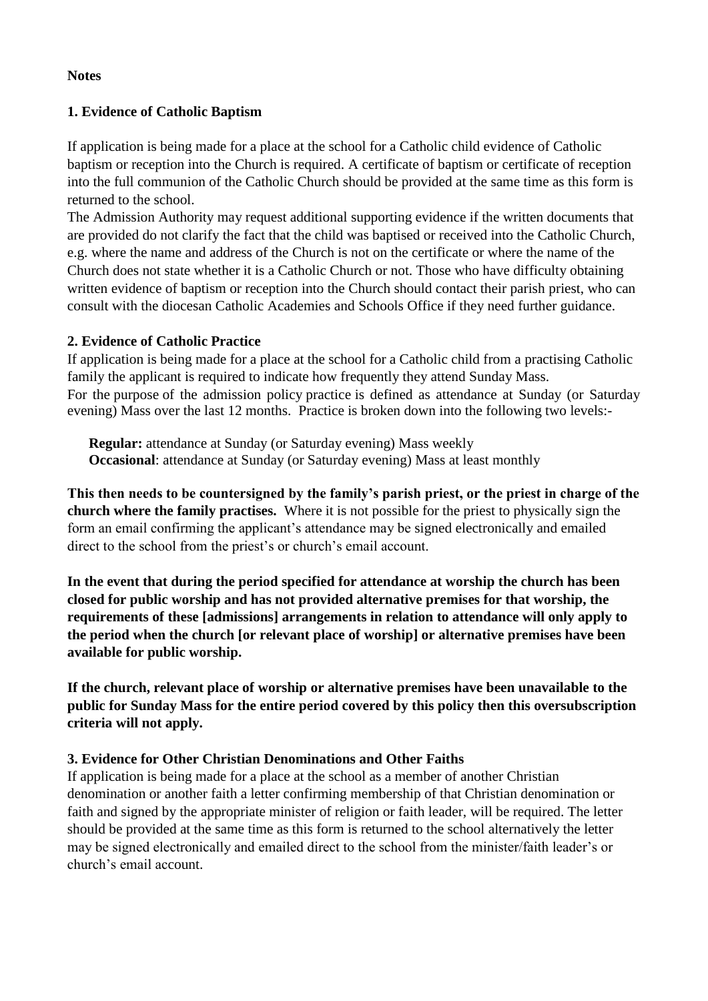### **Notes**

## **1. Evidence of Catholic Baptism**

If application is being made for a place at the school for a Catholic child evidence of Catholic baptism or reception into the Church is required. A certificate of baptism or certificate of reception into the full communion of the Catholic Church should be provided at the same time as this form is returned to the school.

The Admission Authority may request additional supporting evidence if the written documents that are provided do not clarify the fact that the child was baptised or received into the Catholic Church, e.g. where the name and address of the Church is not on the certificate or where the name of the Church does not state whether it is a Catholic Church or not. Those who have difficulty obtaining written evidence of baptism or reception into the Church should contact their parish priest, who can consult with the diocesan Catholic Academies and Schools Office if they need further guidance.

## **2. Evidence of Catholic Practice**

If application is being made for a place at the school for a Catholic child from a practising Catholic family the applicant is required to indicate how frequently they attend Sunday Mass. For the purpose of the admission policy practice is defined as attendance at Sunday (or Saturday evening) Mass over the last 12 months. Practice is broken down into the following two levels:-

**Regular:** attendance at Sunday (or Saturday evening) Mass weekly **Occasional**: attendance at Sunday (or Saturday evening) Mass at least monthly

**This then needs to be countersigned by the family's parish priest, or the priest in charge of the church where the family practises.** Where it is not possible for the priest to physically sign the form an email confirming the applicant's attendance may be signed electronically and emailed direct to the school from the priest's or church's email account.

**In the event that during the period specified for attendance at worship the church has been closed for public worship and has not provided alternative premises for that worship, the requirements of these [admissions] arrangements in relation to attendance will only apply to the period when the church [or relevant place of worship] or alternative premises have been available for public worship.**

**If the church, relevant place of worship or alternative premises have been unavailable to the public for Sunday Mass for the entire period covered by this policy then this oversubscription criteria will not apply.**

## **3. Evidence for Other Christian Denominations and Other Faiths**

If application is being made for a place at the school as a member of another Christian denomination or another faith a letter confirming membership of that Christian denomination or faith and signed by the appropriate minister of religion or faith leader, will be required. The letter should be provided at the same time as this form is returned to the school alternatively the letter may be signed electronically and emailed direct to the school from the minister/faith leader's or church's email account.